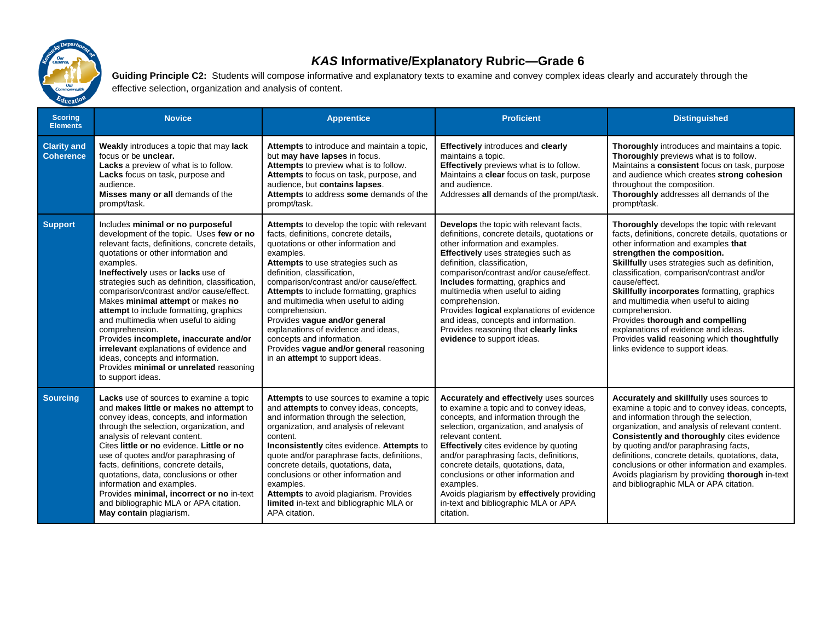

## *KAS* **Informative/Explanatory Rubric—Grade 6**

Guiding Principle C2: Students will compose informative and explanatory texts to examine and convey complex ideas clearly and accurately through the effective selection, organization and analysis of content.

| <b>Scoring</b><br><b>Elements</b>      | <b>Novice</b>                                                                                                                                                                                                                                                                                                                                                                                                                                                                                                                                                                                                                                              | <b>Apprentice</b>                                                                                                                                                                                                                                                                                                                                                                                                                                                                                                                                         | <b>Proficient</b>                                                                                                                                                                                                                                                                                                                                                                                                                                                                                                 | <b>Distinguished</b>                                                                                                                                                                                                                                                                                                                                                                                                                                                                                                                                                     |
|----------------------------------------|------------------------------------------------------------------------------------------------------------------------------------------------------------------------------------------------------------------------------------------------------------------------------------------------------------------------------------------------------------------------------------------------------------------------------------------------------------------------------------------------------------------------------------------------------------------------------------------------------------------------------------------------------------|-----------------------------------------------------------------------------------------------------------------------------------------------------------------------------------------------------------------------------------------------------------------------------------------------------------------------------------------------------------------------------------------------------------------------------------------------------------------------------------------------------------------------------------------------------------|-------------------------------------------------------------------------------------------------------------------------------------------------------------------------------------------------------------------------------------------------------------------------------------------------------------------------------------------------------------------------------------------------------------------------------------------------------------------------------------------------------------------|--------------------------------------------------------------------------------------------------------------------------------------------------------------------------------------------------------------------------------------------------------------------------------------------------------------------------------------------------------------------------------------------------------------------------------------------------------------------------------------------------------------------------------------------------------------------------|
| <b>Clarity and</b><br><b>Coherence</b> | <b>Weakly</b> introduces a topic that may lack<br>focus or be unclear.<br>Lacks a preview of what is to follow.<br>Lacks focus on task, purpose and<br>audience.<br>Misses many or all demands of the<br>prompt/task.                                                                                                                                                                                                                                                                                                                                                                                                                                      | Attempts to introduce and maintain a topic,<br>but may have lapses in focus.<br>Attempts to preview what is to follow.<br>Attempts to focus on task, purpose, and<br>audience, but contains lapses.<br>Attempts to address some demands of the<br>prompt/task.                                                                                                                                                                                                                                                                                            | <b>Effectively</b> introduces and clearly<br>maintains a topic.<br>Effectively previews what is to follow.<br>Maintains a clear focus on task, purpose<br>and audience.<br>Addresses all demands of the prompt/task.                                                                                                                                                                                                                                                                                              | Thoroughly introduces and maintains a topic.<br>Thoroughly previews what is to follow.<br>Maintains a consistent focus on task, purpose<br>and audience which creates strong cohesion<br>throughout the composition.<br>Thoroughly addresses all demands of the<br>prompt/task.                                                                                                                                                                                                                                                                                          |
| <b>Support</b>                         | Includes minimal or no purposeful<br>development of the topic. Uses few or no<br>relevant facts, definitions, concrete details,<br>quotations or other information and<br>examples.<br>Ineffectively uses or lacks use of<br>strategies such as definition, classification,<br>comparison/contrast and/or cause/effect.<br>Makes minimal attempt or makes no<br>attempt to include formatting, graphics<br>and multimedia when useful to aiding<br>comprehension.<br>Provides incomplete, inaccurate and/or<br>irrelevant explanations of evidence and<br>ideas, concepts and information.<br>Provides minimal or unrelated reasoning<br>to support ideas. | <b>Attempts</b> to develop the topic with relevant<br>facts, definitions, concrete details,<br>quotations or other information and<br>examples.<br>Attempts to use strategies such as<br>definition, classification,<br>comparison/contrast and/or cause/effect.<br>Attempts to include formatting, graphics<br>and multimedia when useful to aiding<br>comprehension.<br>Provides vague and/or general<br>explanations of evidence and ideas,<br>concepts and information.<br>Provides vague and/or general reasoning<br>in an attempt to support ideas. | <b>Develops</b> the topic with relevant facts,<br>definitions, concrete details, quotations or<br>other information and examples.<br><b>Effectively</b> uses strategies such as<br>definition, classification,<br>comparison/contrast and/or cause/effect.<br>Includes formatting, graphics and<br>multimedia when useful to aiding<br>comprehension.<br>Provides logical explanations of evidence<br>and ideas, concepts and information.<br>Provides reasoning that clearly links<br>evidence to support ideas. | <b>Thoroughly</b> develops the topic with relevant<br>facts, definitions, concrete details, quotations or<br>other information and examples that<br>strengthen the composition.<br>Skillfully uses strategies such as definition,<br>classification, comparison/contrast and/or<br>cause/effect.<br>Skillfully incorporates formatting, graphics<br>and multimedia when useful to aiding<br>comprehension.<br>Provides thorough and compelling<br>explanations of evidence and ideas.<br>Provides valid reasoning which thoughtfully<br>links evidence to support ideas. |
| <b>Sourcing</b>                        | <b>Lacks</b> use of sources to examine a topic<br>and makes little or makes no attempt to<br>convey ideas, concepts, and information<br>through the selection, organization, and<br>analysis of relevant content.<br>Cites little or no evidence. Little or no<br>use of quotes and/or paraphrasing of<br>facts, definitions, concrete details,<br>quotations, data, conclusions or other<br>information and examples.<br>Provides minimal, incorrect or no in-text<br>and bibliographic MLA or APA citation.<br>May contain plagiarism.                                                                                                                   | Attempts to use sources to examine a topic<br>and attempts to convey ideas, concepts,<br>and information through the selection,<br>organization, and analysis of relevant<br>content.<br>Inconsistently cites evidence. Attempts to<br>quote and/or paraphrase facts, definitions,<br>concrete details, quotations, data,<br>conclusions or other information and<br>examples.<br>Attempts to avoid plagiarism. Provides<br>limited in-text and bibliographic MLA or<br>APA citation.                                                                     | Accurately and effectively uses sources<br>to examine a topic and to convey ideas,<br>concepts, and information through the<br>selection, organization, and analysis of<br>relevant content.<br>Effectively cites evidence by quoting<br>and/or paraphrasing facts, definitions,<br>concrete details, quotations, data,<br>conclusions or other information and<br>examples.<br>Avoids plagiarism by effectively providing<br>in-text and bibliographic MLA or APA<br>citation.                                   | Accurately and skillfully uses sources to<br>examine a topic and to convey ideas, concepts,<br>and information through the selection,<br>organization, and analysis of relevant content.<br><b>Consistently and thoroughly cites evidence</b><br>by quoting and/or paraphrasing facts,<br>definitions, concrete details, quotations, data,<br>conclusions or other information and examples.<br>Avoids plagiarism by providing thorough in-text<br>and bibliographic MLA or APA citation.                                                                                |